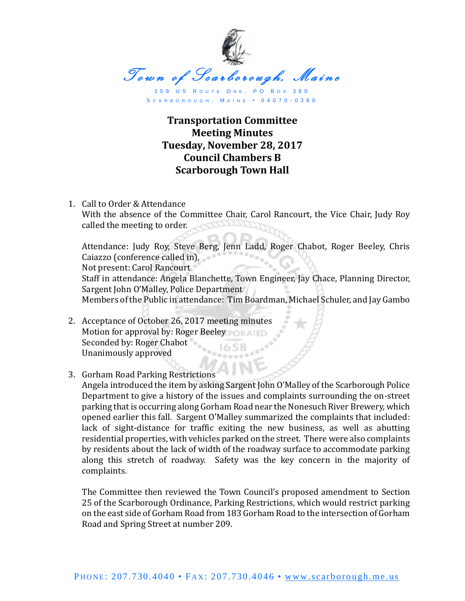

S C A R B O R O U G H , M A I N E • 0 4 0 7 0 - 0 3 6 0

## **Transportation Committee Meeting Minutes Tuesday, November 28, 2017 Council Chambers B Scarborough Town Hall**

1. Call to Order & Attendance With the absence of the Committee Chair, Carol Rancourt, the Vice Chair, Judy Roy called the meeting to order.

Attendance: Judy Roy, Steve Berg, Jenn Ladd, Roger Chabot, Roger Beeley, Chris<br>Caisara Conference called in Caiazzo (conference called in), Not present: Carol Rancourt Staff in attendance: Angela Blanchette, Town Engineer, Jay Chace, Planning Director, Sargent John O'Malley, Police Department Members of the Public in attendance: Tim Boardman, Michael Schuler, and Jay Gambo

- 2. Acceptance of October 26, 2017 meeting minutes Motion for approval by: Roger Beeley Seconded by: Roger Chabot Unanimously approved
- 3. Gorham Road Parking Restrictions

Angela introduced the item by asking Sargent John O'Malley of the Scarborough Police Department to give a history of the issues and complaints surrounding the on-street parking that is occurring along Gorham Road near the Nonesuch River Brewery, which opened earlier this fall. Sargent O'Malley summarized the complaints that included: lack of sight-distance for traffic exiting the new business, as well as abutting residential properties, with vehicles parked on the street. There were also complaints by residents about the lack of width of the roadway surface to accommodate parking along this stretch of roadway. Safety was the key concern in the majority of complaints.

The Committee then reviewed the Town Council's proposed amendment to Section 25 of the Scarborough Ordinance, Parking Restrictions, which would restrict parking on the east side of Gorham Road from 183 Gorham Road to the intersection of Gorham Road and Spring Street at number 209.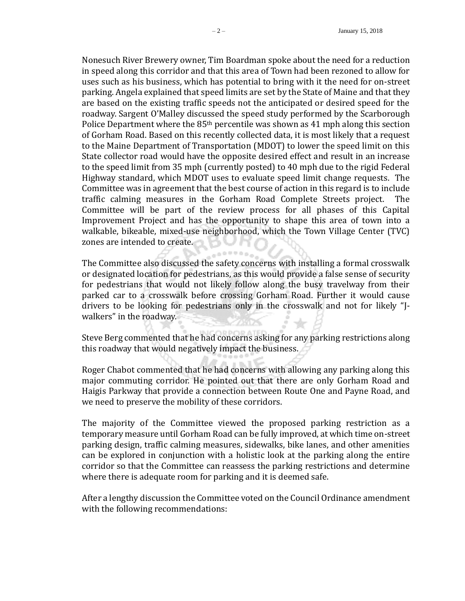Nonesuch River Brewery owner, Tim Boardman spoke about the need for a reduction in speed along this corridor and that this area of Town had been rezoned to allow for uses such as his business, which has potential to bring with it the need for on-street parking. Angela explained that speed limits are set by the State of Maine and that they are based on the existing traffic speeds not the anticipated or desired speed for the roadway. Sargent O'Malley discussed the speed study performed by the Scarborough Police Department where the 85th percentile was shown as 41 mph along this section of Gorham Road. Based on this recently collected data, it is most likely that a request to the Maine Department of Transportation (MDOT) to lower the speed limit on this State collector road would have the opposite desired effect and result in an increase to the speed limit from 35 mph (currently posted) to 40 mph due to the rigid Federal Highway standard, which MDOT uses to evaluate speed limit change requests. The Committee was in agreement that the best course of action in this regard is to include traffic calming measures in the Gorham Road Complete Streets project. The Committee will be part of the review process for all phases of this Capital Improvement Project and has the opportunity to shape this area of town into a walkable, bikeable, mixed-use neighborhood, which the Town Village Center (TVC) zones are intended to create.

The Committee also discussed the safety concerns with installing a formal crosswalk or designated location for pedestrians, as this would provide a false sense of security for pedestrians that would not likely follow along the busy travelway from their parked car to a crosswalk before crossing Gorham Road. Further it would cause drivers to be looking for pedestrians only in the crosswalk and not for likely "Jwalkers" in the roadway.

Steve Berg commented that he had concerns asking for any parking restrictions along this roadway that would negatively impact the business.

Roger Chabot commented that he had concerns with allowing any parking along this major commuting corridor. He pointed out that there are only Gorham Road and Haigis Parkway that provide a connection between Route One and Payne Road, and we need to preserve the mobility of these corridors.

The majority of the Committee viewed the proposed parking restriction as a temporary measure until Gorham Road can be fully improved, at which time on-street parking design, traffic calming measures, sidewalks, bike lanes, and other amenities can be explored in conjunction with a holistic look at the parking along the entire corridor so that the Committee can reassess the parking restrictions and determine where there is adequate room for parking and it is deemed safe.

After a lengthy discussion the Committee voted on the Council Ordinance amendment with the following recommendations: